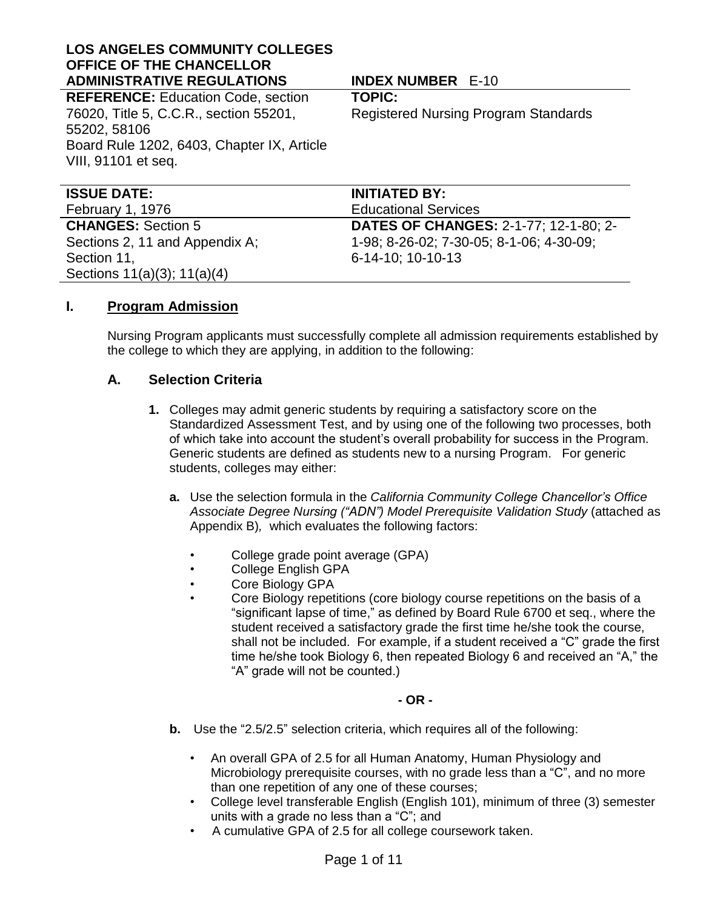#### **LOS ANGELES COMMUNITY COLLEGES OFFICE OF THE CHANCELLOR ADMINISTRATIVE REGULATIONS INDEX NUMBER** E-10

**REFERENCE:** Education Code, section 76020, Title 5, C.C.R., section 55201, 55202, 58106 Board Rule 1202, 6403, Chapter IX, Article VIII, 91101 et seq.

**TOPIC:**

Registered Nursing Program Standards

| <b>ISSUE DATE:</b>             | <b>INITIATED BY:</b>                         |
|--------------------------------|----------------------------------------------|
| <b>February 1, 1976</b>        | <b>Educational Services</b>                  |
| <b>CHANGES: Section 5</b>      | <b>DATES OF CHANGES: 2-1-77; 12-1-80; 2-</b> |
| Sections 2, 11 and Appendix A; | 1-98; 8-26-02; 7-30-05; 8-1-06; 4-30-09;     |
| Section 11,                    | 6-14-10; 10-10-13                            |
| Sections 11(a)(3); 11(a)(4)    |                                              |
|                                |                                              |

#### **I. Program Admission**

Nursing Program applicants must successfully complete all admission requirements established by the college to which they are applying, in addition to the following:

#### **A. Selection Criteria**

- **1.** Colleges may admit generic students by requiring a satisfactory score on the Standardized Assessment Test, and by using one of the following two processes, both of which take into account the student's overall probability for success in the Program. Generic students are defined as students new to a nursing Program. For generic students, colleges may either:
	- **a.** Use the selection formula in the *California Community College Chancellor's Office Associate Degree Nursing ("ADN") Model Prerequisite Validation Study* (attached as Appendix B)*,* which evaluates the following factors:
		- College grade point average (GPA)
		- College English GPA
		- Core Biology GPA
		- Core Biology repetitions (core biology course repetitions on the basis of a "significant lapse of time," as defined by Board Rule 6700 et seq., where the student received a satisfactory grade the first time he/she took the course, shall not be included. For example, if a student received a "C" grade the first time he/she took Biology 6, then repeated Biology 6 and received an "A," the "A" grade will not be counted.)

#### **- OR -**

- **b.** Use the "2.5/2.5" selection criteria, which requires all of the following:
	- An overall GPA of 2.5 for all Human Anatomy, Human Physiology and Microbiology prerequisite courses, with no grade less than a "C", and no more than one repetition of any one of these courses;
	- College level transferable English (English 101), minimum of three (3) semester units with a grade no less than a "C"; and
	- A cumulative GPA of 2.5 for all college coursework taken.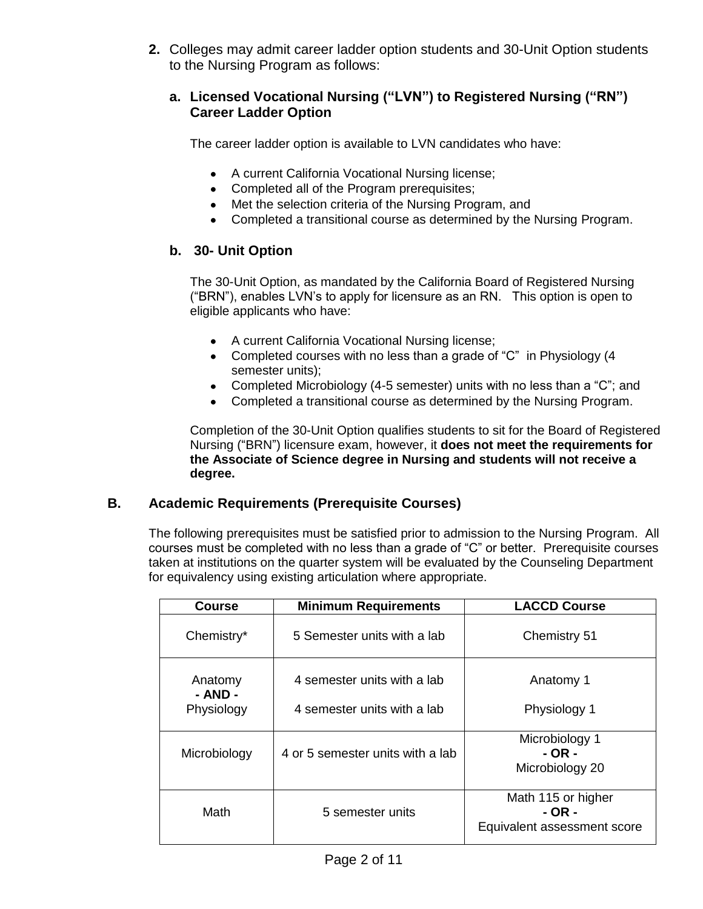**2.** Colleges may admit career ladder option students and 30-Unit Option students to the Nursing Program as follows:

#### **a. Licensed Vocational Nursing ("LVN") to Registered Nursing ("RN") Career Ladder Option**

The career ladder option is available to LVN candidates who have:

- A current California Vocational Nursing license;
- Completed all of the Program prerequisites;
- Met the selection criteria of the Nursing Program, and
- Completed a transitional course as determined by the Nursing Program.

# **b. 30- Unit Option**

The 30-Unit Option, as mandated by the California Board of Registered Nursing ("BRN"), enables LVN's to apply for licensure as an RN. This option is open to eligible applicants who have:

- A current California Vocational Nursing license;
- Completed courses with no less than a grade of "C" in Physiology (4 semester units);
- Completed Microbiology (4-5 semester) units with no less than a "C"; and
- Completed a transitional course as determined by the Nursing Program.

Completion of the 30-Unit Option qualifies students to sit for the Board of Registered Nursing ("BRN") licensure exam, however, it **does not meet the requirements for the Associate of Science degree in Nursing and students will not receive a degree.** 

# **B. Academic Requirements (Prerequisite Courses)**

The following prerequisites must be satisfied prior to admission to the Nursing Program. All courses must be completed with no less than a grade of "C" or better. Prerequisite courses taken at institutions on the quarter system will be evaluated by the Counseling Department for equivalency using existing articulation where appropriate.

| <b>Course</b>                    | <b>Minimum Requirements</b>                                | <b>LACCD Course</b>                                         |
|----------------------------------|------------------------------------------------------------|-------------------------------------------------------------|
| Chemistry*                       | 5 Semester units with a lab                                | Chemistry 51                                                |
| Anatomy<br>- AND -<br>Physiology | 4 semester units with a lab<br>4 semester units with a lab | Anatomy 1<br>Physiology 1                                   |
| Microbiology                     | 4 or 5 semester units with a lab                           | Microbiology 1<br>- OR -<br>Microbiology 20                 |
| Math                             | 5 semester units                                           | Math 115 or higher<br>- OR -<br>Equivalent assessment score |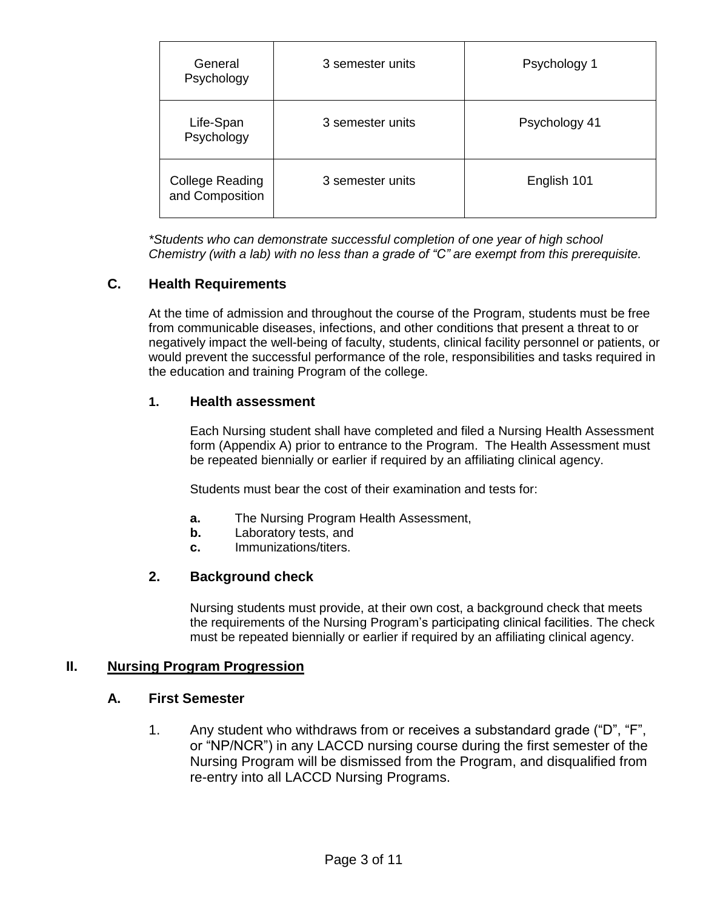| General<br>Psychology                     | 3 semester units | Psychology 1  |
|-------------------------------------------|------------------|---------------|
| Life-Span<br>Psychology                   | 3 semester units | Psychology 41 |
| <b>College Reading</b><br>and Composition | 3 semester units | English 101   |

*\*Students who can demonstrate successful completion of one year of high school Chemistry (with a lab) with no less than a grade of "C" are exempt from this prerequisite.*

# **C. Health Requirements**

At the time of admission and throughout the course of the Program, students must be free from communicable diseases, infections, and other conditions that present a threat to or negatively impact the well-being of faculty, students, clinical facility personnel or patients, or would prevent the successful performance of the role, responsibilities and tasks required in the education and training Program of the college.

#### **1. Health assessment**

Each Nursing student shall have completed and filed a Nursing Health Assessment form (Appendix A) prior to entrance to the Program. The Health Assessment must be repeated biennially or earlier if required by an affiliating clinical agency.

Students must bear the cost of their examination and tests for:

- **a.** The Nursing Program Health Assessment,
- **b.** Laboratory tests, and
- **c.** Immunizations/titers.

#### **2. Background check**

Nursing students must provide, at their own cost, a background check that meets the requirements of the Nursing Program's participating clinical facilities. The check must be repeated biennially or earlier if required by an affiliating clinical agency.

#### **II. Nursing Program Progression**

#### **A. First Semester**

1. Any student who withdraws from or receives a substandard grade ("D", "F", or "NP/NCR") in any LACCD nursing course during the first semester of the Nursing Program will be dismissed from the Program, and disqualified from re-entry into all LACCD Nursing Programs.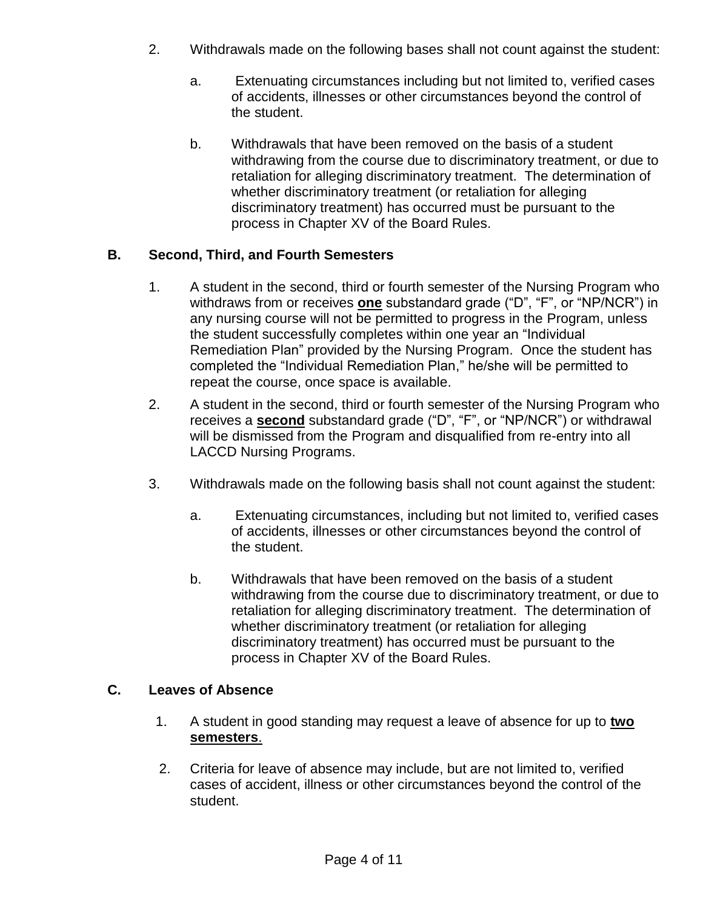- 2. Withdrawals made on the following bases shall not count against the student:
	- a. Extenuating circumstances including but not limited to, verified cases of accidents, illnesses or other circumstances beyond the control of the student.
	- b. Withdrawals that have been removed on the basis of a student withdrawing from the course due to discriminatory treatment, or due to retaliation for alleging discriminatory treatment. The determination of whether discriminatory treatment (or retaliation for alleging discriminatory treatment) has occurred must be pursuant to the process in Chapter XV of the Board Rules.

# **B. Second, Third, and Fourth Semesters**

- 1. A student in the second, third or fourth semester of the Nursing Program who withdraws from or receives **one** substandard grade ("D", "F", or "NP/NCR") in any nursing course will not be permitted to progress in the Program, unless the student successfully completes within one year an "Individual Remediation Plan" provided by the Nursing Program. Once the student has completed the "Individual Remediation Plan," he/she will be permitted to repeat the course, once space is available.
- 2. A student in the second, third or fourth semester of the Nursing Program who receives a **second** substandard grade ("D", "F", or "NP/NCR") or withdrawal will be dismissed from the Program and disqualified from re-entry into all LACCD Nursing Programs.
- 3. Withdrawals made on the following basis shall not count against the student:
	- a. Extenuating circumstances, including but not limited to, verified cases of accidents, illnesses or other circumstances beyond the control of the student.
	- b. Withdrawals that have been removed on the basis of a student withdrawing from the course due to discriminatory treatment, or due to retaliation for alleging discriminatory treatment. The determination of whether discriminatory treatment (or retaliation for alleging discriminatory treatment) has occurred must be pursuant to the process in Chapter XV of the Board Rules.

# **C. Leaves of Absence**

- 1. A student in good standing may request a leave of absence for up to **two semesters**.
- 2. Criteria for leave of absence may include, but are not limited to, verified cases of accident, illness or other circumstances beyond the control of the student.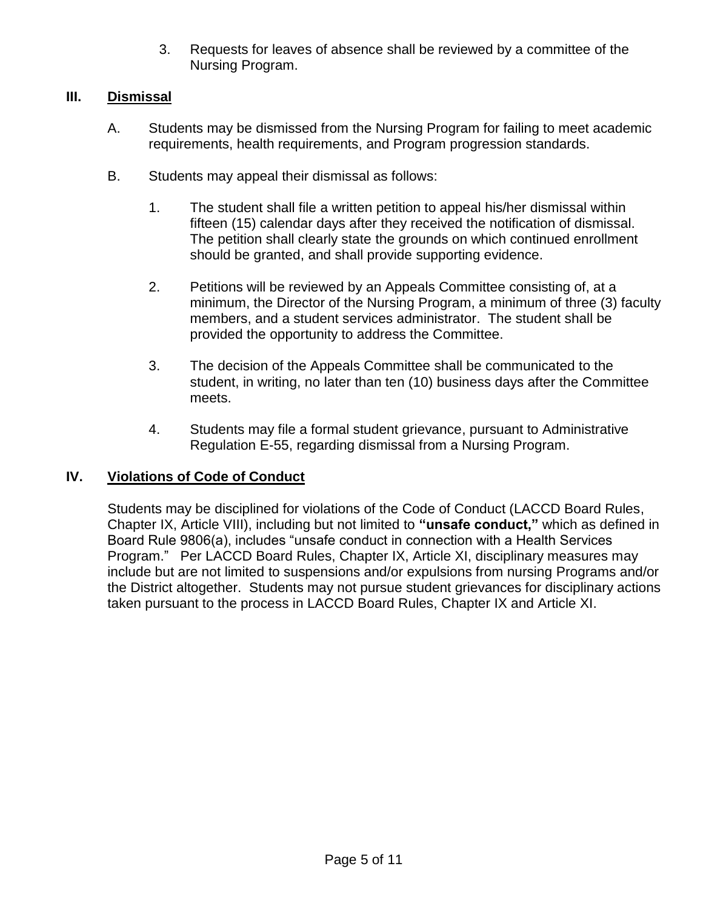3. Requests for leaves of absence shall be reviewed by a committee of the Nursing Program.

# **III. Dismissal**

- A. Students may be dismissed from the Nursing Program for failing to meet academic requirements, health requirements, and Program progression standards.
- B. Students may appeal their dismissal as follows:
	- 1. The student shall file a written petition to appeal his/her dismissal within fifteen (15) calendar days after they received the notification of dismissal. The petition shall clearly state the grounds on which continued enrollment should be granted, and shall provide supporting evidence.
	- 2. Petitions will be reviewed by an Appeals Committee consisting of, at a minimum, the Director of the Nursing Program, a minimum of three (3) faculty members, and a student services administrator. The student shall be provided the opportunity to address the Committee.
	- 3. The decision of the Appeals Committee shall be communicated to the student, in writing, no later than ten (10) business days after the Committee meets.
	- 4. Students may file a formal student grievance, pursuant to Administrative Regulation E-55, regarding dismissal from a Nursing Program.

# **IV. Violations of Code of Conduct**

Students may be disciplined for violations of the Code of Conduct (LACCD Board Rules, Chapter IX, Article VIII), including but not limited to **"unsafe conduct,"** which as defined in Board Rule 9806(a), includes "unsafe conduct in connection with a Health Services Program." Per LACCD Board Rules, Chapter IX, Article XI, disciplinary measures may include but are not limited to suspensions and/or expulsions from nursing Programs and/or the District altogether. Students may not pursue student grievances for disciplinary actions taken pursuant to the process in LACCD Board Rules, Chapter IX and Article XI.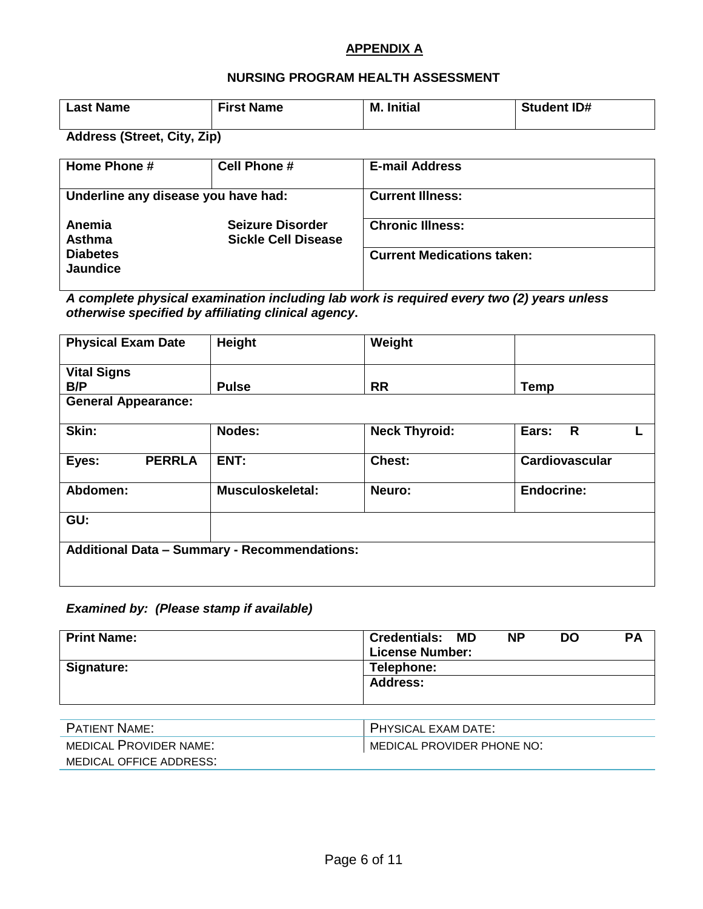#### **APPENDIX A**

#### **NURSING PROGRAM HEALTH ASSESSMENT**

| <b>Last Name</b> | <b>First Name</b> | <b>M.</b> Initial | <b>Student ID#</b> |
|------------------|-------------------|-------------------|--------------------|
|------------------|-------------------|-------------------|--------------------|

**Address (Street, City, Zip)**

| Home Phone #                        | Cell Phone #                                          | <b>E-mail Address</b>             |
|-------------------------------------|-------------------------------------------------------|-----------------------------------|
| Underline any disease you have had: |                                                       | <b>Current Illness:</b>           |
| Anemia<br><b>Asthma</b>             | <b>Seizure Disorder</b><br><b>Sickle Cell Disease</b> | <b>Chronic Illness:</b>           |
| <b>Diabetes</b><br><b>Jaundice</b>  |                                                       | <b>Current Medications taken:</b> |

*A complete physical examination including lab work is required every two (2) years unless otherwise specified by affiliating clinical agency***.**

| <b>Physical Exam Date</b>                           | Height                  | Weight               |                       |
|-----------------------------------------------------|-------------------------|----------------------|-----------------------|
| <b>Vital Signs</b>                                  |                         |                      |                       |
| B/P                                                 | <b>Pulse</b>            | <b>RR</b>            | <b>Temp</b>           |
| <b>General Appearance:</b>                          |                         |                      |                       |
| Skin:                                               | <b>Nodes:</b>           | <b>Neck Thyroid:</b> | Ears:<br>$\mathsf{R}$ |
| <b>PERRLA</b><br>Eyes:                              | ENT:                    | Chest:               | Cardiovascular        |
| Abdomen:                                            | <b>Musculoskeletal:</b> | Neuro:               | <b>Endocrine:</b>     |
| GU:                                                 |                         |                      |                       |
| <b>Additional Data - Summary - Recommendations:</b> |                         |                      |                       |

# *Examined by: (Please stamp if available)*

| <b>Print Name:</b> | <b>Credentials:</b><br>MD | <b>NP</b> | DO | <b>PA</b> |  |
|--------------------|---------------------------|-----------|----|-----------|--|
|                    | <b>License Number:</b>    |           |    |           |  |
| Signature:         | Telephone:                |           |    |           |  |
|                    | <b>Address:</b>           |           |    |           |  |
|                    |                           |           |    |           |  |

| <b>PATIENT NAME:</b>    | PHYSICAL EXAM DATE:        |
|-------------------------|----------------------------|
| MEDICAL PROVIDER NAME:  | MEDICAL PROVIDER PHONE NO: |
| MEDICAL OFFICE ADDRESS: |                            |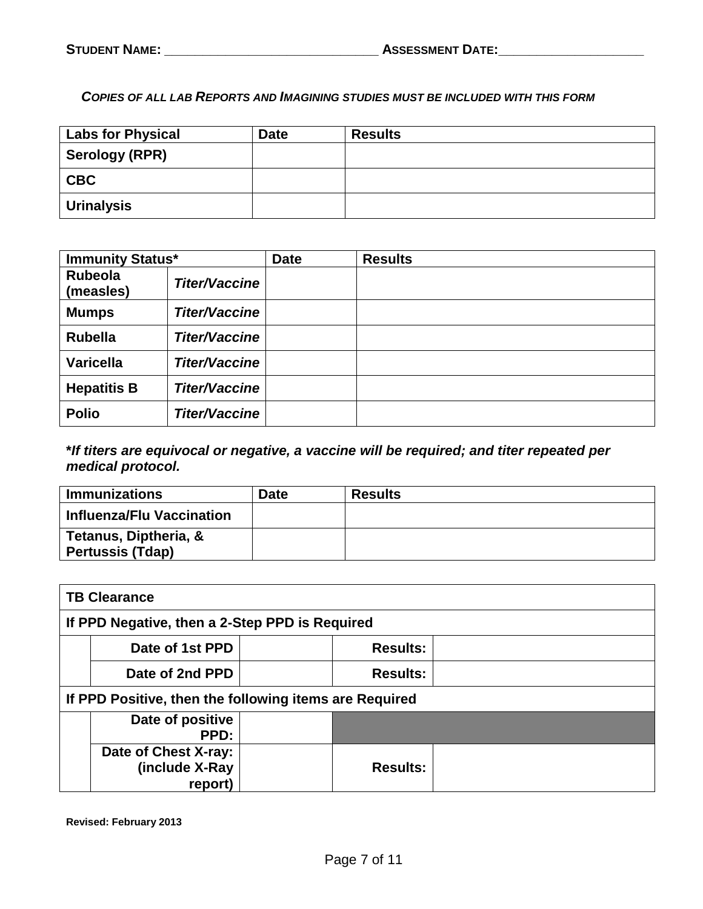*COPIES OF ALL LAB REPORTS AND IMAGINING STUDIES MUST BE INCLUDED WITH THIS FORM*

| <b>Labs for Physical</b> | <b>Date</b> | <b>Results</b> |
|--------------------------|-------------|----------------|
| <b>Serology (RPR)</b>    |             |                |
| <b>CBC</b>               |             |                |
| Urinalysis               |             |                |

| <b>Immunity Status*</b> |                      | <b>Date</b> | <b>Results</b> |
|-------------------------|----------------------|-------------|----------------|
| Rubeola<br>(measles)    | <b>Titer/Vaccine</b> |             |                |
| <b>Mumps</b>            | <b>Titer/Vaccine</b> |             |                |
| <b>Rubella</b>          | <b>Titer/Vaccine</b> |             |                |
| <b>Varicella</b>        | <b>Titer/Vaccine</b> |             |                |
| <b>Hepatitis B</b>      | <b>Titer/Vaccine</b> |             |                |
| <b>Polio</b>            | <b>Titer/Vaccine</b> |             |                |

# **\****If titers are equivocal or negative, a vaccine will be required; and titer repeated per medical protocol.*

| <b>Immunizations</b>                             | <b>Date</b> | <b>Results</b> |
|--------------------------------------------------|-------------|----------------|
| Influenza/Flu Vaccination                        |             |                |
| Tetanus, Diptheria, &<br><b>Pertussis (Tdap)</b> |             |                |

| <b>TB Clearance</b>                                    |  |                 |  |  |
|--------------------------------------------------------|--|-----------------|--|--|
| If PPD Negative, then a 2-Step PPD is Required         |  |                 |  |  |
| Date of 1st PPD                                        |  | <b>Results:</b> |  |  |
| Date of 2nd PPD                                        |  | <b>Results:</b> |  |  |
| If PPD Positive, then the following items are Required |  |                 |  |  |
| Date of positive<br>PPD:                               |  |                 |  |  |
| Date of Chest X-ray:<br>(include X-Ray<br>report)      |  | <b>Results:</b> |  |  |

**Revised: February 2013**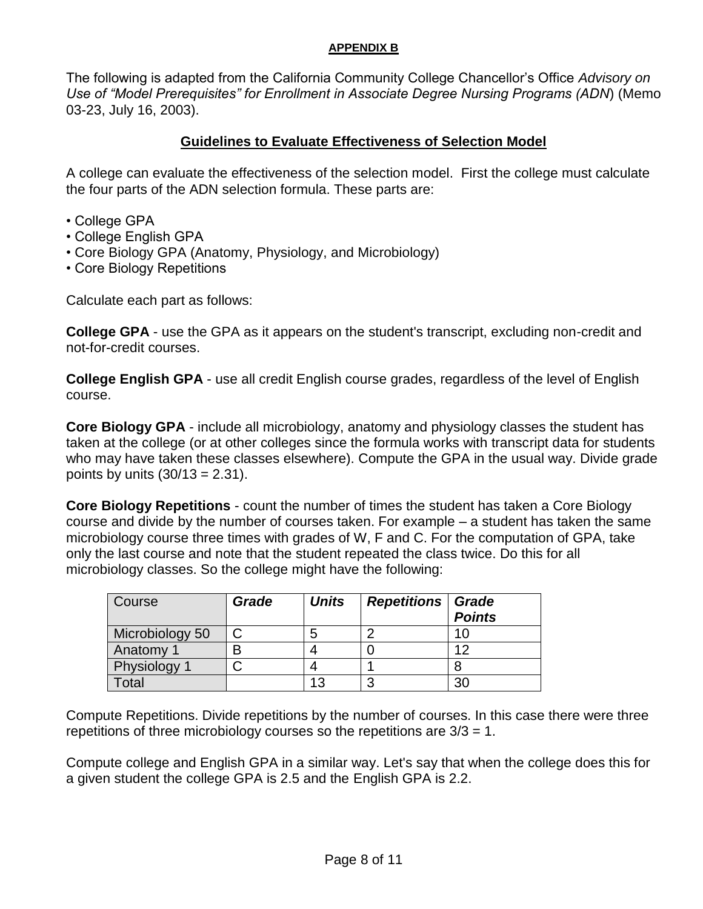#### **APPENDIX B**

The following is adapted from the California Community College Chancellor's Office *Advisory on Use of "Model Prerequisites" for Enrollment in Associate Degree Nursing Programs (ADN*) (Memo 03-23, July 16, 2003).

# **Guidelines to Evaluate Effectiveness of Selection Model**

A college can evaluate the effectiveness of the selection model. First the college must calculate the four parts of the ADN selection formula. These parts are:

- College GPA
- College English GPA
- Core Biology GPA (Anatomy, Physiology, and Microbiology)
- Core Biology Repetitions

Calculate each part as follows:

**College GPA** - use the GPA as it appears on the student's transcript, excluding non-credit and not-for-credit courses.

**College English GPA** - use all credit English course grades, regardless of the level of English course.

**Core Biology GPA** - include all microbiology, anatomy and physiology classes the student has taken at the college (or at other colleges since the formula works with transcript data for students who may have taken these classes elsewhere). Compute the GPA in the usual way. Divide grade points by units  $(30/13 = 2.31)$ .

**Core Biology Repetitions** - count the number of times the student has taken a Core Biology course and divide by the number of courses taken. For example – a student has taken the same microbiology course three times with grades of W, F and C. For the computation of GPA, take only the last course and note that the student repeated the class twice. Do this for all microbiology classes. So the college might have the following:

| Course          | Grade | <b>Units</b> | <b>Repetitions Grade</b> | <b>Points</b> |
|-----------------|-------|--------------|--------------------------|---------------|
| Microbiology 50 |       |              |                          |               |
| Anatomy 1       | B     |              |                          | ィク            |
| Physiology 1    |       |              |                          |               |
| otal            |       | 13           |                          | 21            |

Compute Repetitions. Divide repetitions by the number of courses. In this case there were three repetitions of three microbiology courses so the repetitions are  $3/3 = 1$ .

Compute college and English GPA in a similar way. Let's say that when the college does this for a given student the college GPA is 2.5 and the English GPA is 2.2.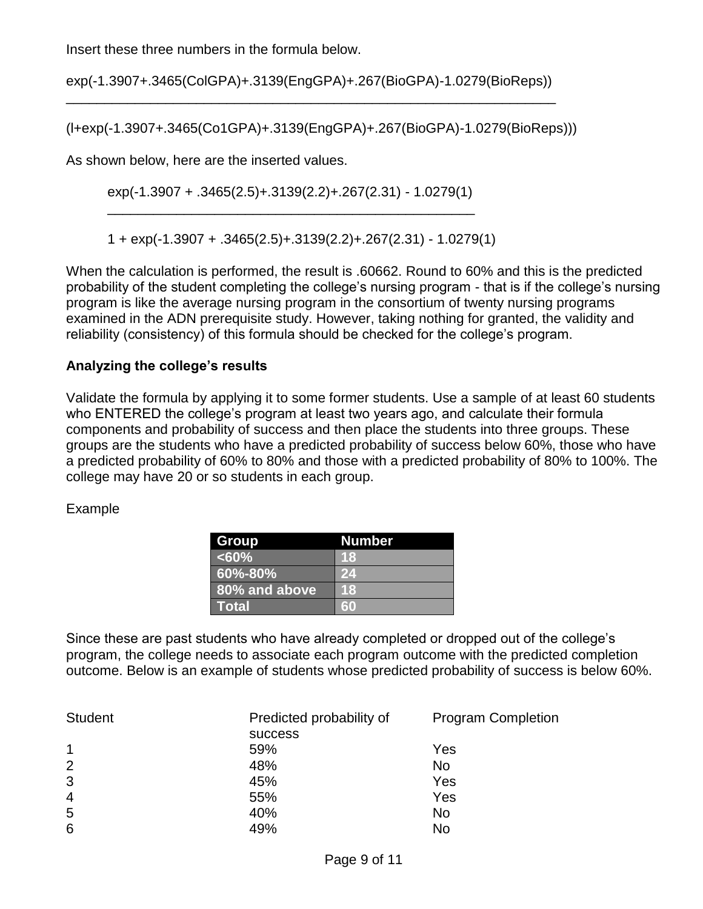Insert these three numbers in the formula below.

exp(-1.3907+.3465(ColGPA)+.3139(EngGPA)+.267(BioGPA)-1.0279(BioReps)) \_\_\_\_\_\_\_\_\_\_\_\_\_\_\_\_\_\_\_\_\_\_\_\_\_\_\_\_\_\_\_\_\_\_\_\_\_\_\_\_\_\_\_\_\_\_\_\_\_\_\_\_\_\_\_\_\_\_\_\_\_\_\_\_

(l+exp(-1.3907+.3465(Co1GPA)+.3139(EngGPA)+.267(BioGPA)-1.0279(BioReps)))

As shown below, here are the inserted values.

exp(-1.3907 + .3465(2.5)+.3139(2.2)+.267(2.31) - 1.0279(1) \_\_\_\_\_\_\_\_\_\_\_\_\_\_\_\_\_\_\_\_\_\_\_\_\_\_\_\_\_\_\_\_\_\_\_\_\_\_\_\_\_\_\_\_\_\_\_\_

1 + exp(-1.3907 + .3465(2.5)+.3139(2.2)+.267(2.31) - 1.0279(1)

When the calculation is performed, the result is .60662. Round to 60% and this is the predicted probability of the student completing the college's nursing program - that is if the college's nursing program is like the average nursing program in the consortium of twenty nursing programs examined in the ADN prerequisite study. However, taking nothing for granted, the validity and reliability (consistency) of this formula should be checked for the college's program.

# **Analyzing the college's results**

Validate the formula by applying it to some former students. Use a sample of at least 60 students who ENTERED the college's program at least two years ago, and calculate their formula components and probability of success and then place the students into three groups. These groups are the students who have a predicted probability of success below 60%, those who have a predicted probability of 60% to 80% and those with a predicted probability of 80% to 100%. The college may have 20 or so students in each group.

#### Example

| Group         | <b>Number</b> |
|---------------|---------------|
| $< 60\%$      | 18            |
| $60\% - 80\%$ | 24            |
| 80% and above | <b>18</b>     |
| l Total       | 60            |

Since these are past students who have already completed or dropped out of the college's program, the college needs to associate each program outcome with the predicted completion outcome. Below is an example of students whose predicted probability of success is below 60%.

| <b>Student</b> | Predicted probability of | <b>Program Completion</b> |  |
|----------------|--------------------------|---------------------------|--|
|                | <b>SUCCESS</b>           |                           |  |
| 1              | 59%                      | Yes                       |  |
| 2              | 48%                      | No                        |  |
| 3              | 45%                      | Yes                       |  |
| $\overline{4}$ | 55%                      | Yes                       |  |
| 5              | 40%                      | No                        |  |
| 6              | 49%                      | No                        |  |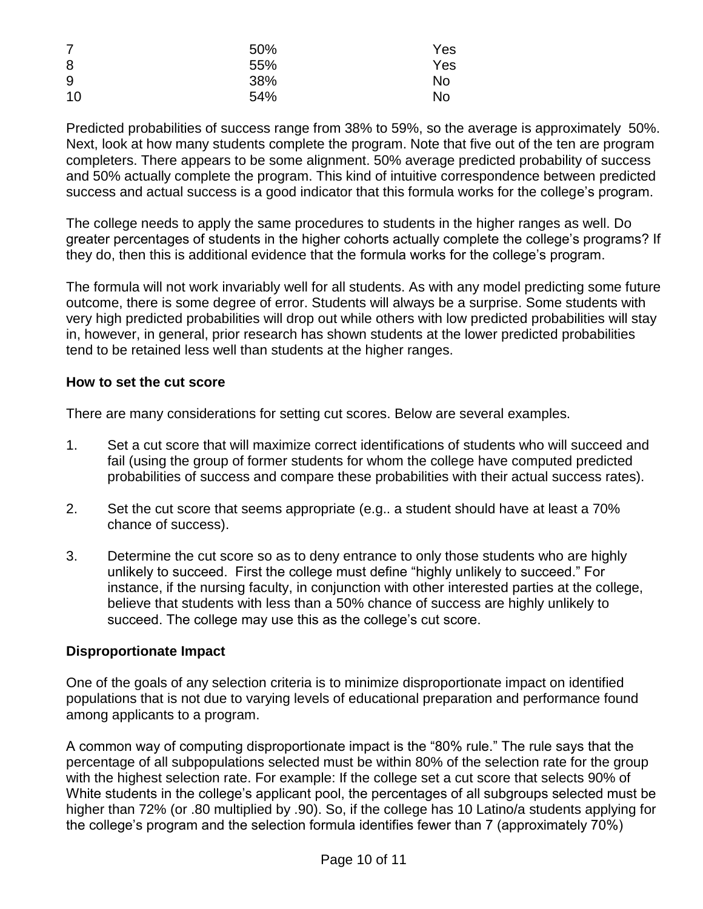| $\overline{7}$ | 50% | Yes |
|----------------|-----|-----|
| 8              | 55% | Yes |
| 9              | 38% | No  |
| 10             | 54% | No  |

Predicted probabilities of success range from 38% to 59%, so the average is approximately 50%. Next, look at how many students complete the program. Note that five out of the ten are program completers. There appears to be some alignment. 50% average predicted probability of success and 50% actually complete the program. This kind of intuitive correspondence between predicted success and actual success is a good indicator that this formula works for the college's program.

The college needs to apply the same procedures to students in the higher ranges as well. Do greater percentages of students in the higher cohorts actually complete the college's programs? If they do, then this is additional evidence that the formula works for the college's program.

The formula will not work invariably well for all students. As with any model predicting some future outcome, there is some degree of error. Students will always be a surprise. Some students with very high predicted probabilities will drop out while others with low predicted probabilities will stay in, however, in general, prior research has shown students at the lower predicted probabilities tend to be retained less well than students at the higher ranges.

# **How to set the cut score**

There are many considerations for setting cut scores. Below are several examples.

- 1. Set a cut score that will maximize correct identifications of students who will succeed and fail (using the group of former students for whom the college have computed predicted probabilities of success and compare these probabilities with their actual success rates).
- 2. Set the cut score that seems appropriate (e.g.. a student should have at least a 70% chance of success).
- 3. Determine the cut score so as to deny entrance to only those students who are highly unlikely to succeed. First the college must define "highly unlikely to succeed." For instance, if the nursing faculty, in conjunction with other interested parties at the college, believe that students with less than a 50% chance of success are highly unlikely to succeed. The college may use this as the college's cut score.

# **Disproportionate Impact**

One of the goals of any selection criteria is to minimize disproportionate impact on identified populations that is not due to varying levels of educational preparation and performance found among applicants to a program.

A common way of computing disproportionate impact is the "80% rule." The rule says that the percentage of all subpopulations selected must be within 80% of the selection rate for the group with the highest selection rate. For example: If the college set a cut score that selects 90% of White students in the college's applicant pool, the percentages of all subgroups selected must be higher than 72% (or .80 multiplied by .90). So, if the college has 10 Latino/a students applying for the college's program and the selection formula identifies fewer than 7 (approximately 70%)